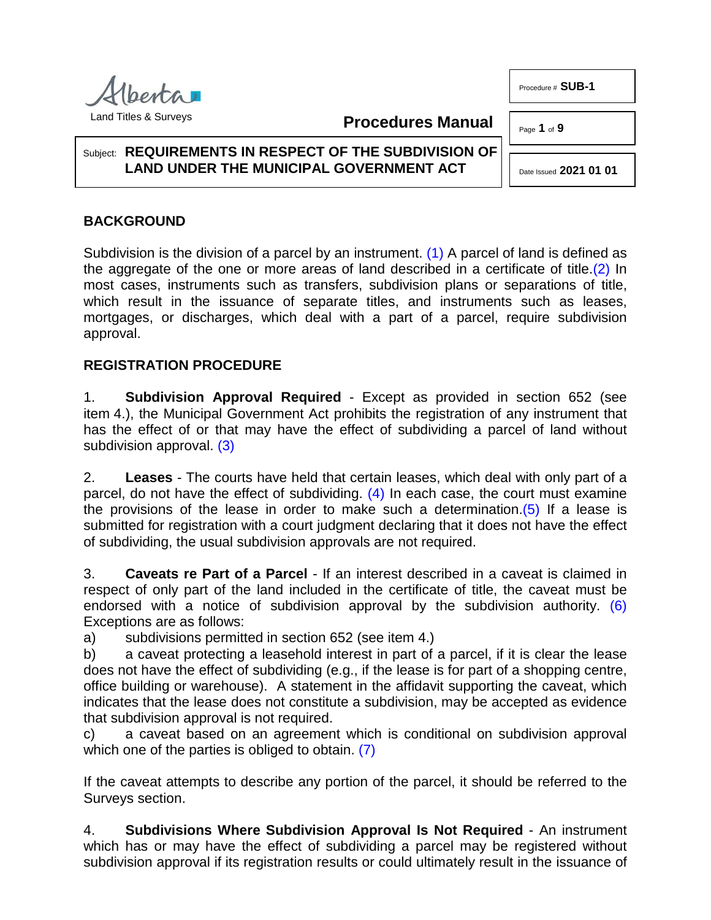Procedure # **SUB-1**

Page **1** of **9**

# Subject: **REQUIREMENTS IN RESPECT OF THE SUBDIVISION OF LAND UNDER THE MUNICIPAL GOVERNMENT ACT**

# **BACKGROUND**

Subdivision is the division of a parcel by an instrument. [\(1\)](#page-7-0) A parcel of land is defined as the aggregate of the one or more areas of land described in a certificate of title. $(2)$  In most cases, instruments such as transfers, subdivision plans or separations of title, which result in the issuance of separate titles, and instruments such as leases, mortgages, or discharges, which deal with a part of a parcel, require subdivision approval.

**Procedures Manual**

# **REGISTRATION PROCEDURE**

1. **Subdivision Approval Required** - Except as provided in section 652 (see item 4.), the Municipal Government Act prohibits the registration of any instrument that has the effect of or that may have the effect of subdividing a parcel of land without subdivision approval. [\(3\)](#page-7-2)

<span id="page-0-3"></span><span id="page-0-2"></span>2. **Leases** - The courts have held that certain leases, which deal with only part of a parcel, do not have the effect of subdividing.  $(4)$  In each case, the court must examine the provisions of the lease in order to make such a determination. $(5)$  If a lease is submitted for registration with a court judgment declaring that it does not have the effect of subdividing, the usual subdivision approvals are not required.

3. **Caveats re Part of a Parcel** - If an interest described in a caveat is claimed in respect of only part of the land included in the certificate of title, the caveat must be endorsed with a notice of subdivision approval by the subdivision authority. [\(6\)](#page-7-5) Exceptions are as follows:

a) subdivisions permitted in section 652 (see item 4.)

b) a caveat protecting a leasehold interest in part of a parcel, if it is clear the lease does not have the effect of subdividing (e.g., if the lease is for part of a shopping centre, office building or warehouse). A statement in the affidavit supporting the caveat, which indicates that the lease does not constitute a subdivision, may be accepted as evidence that subdivision approval is not required.

<span id="page-0-6"></span>c) a caveat based on an agreement which is conditional on subdivision approval which one of the parties is obliged to obtain. [\(7\)](#page-7-6)

If the caveat attempts to describe any portion of the parcel, it should be referred to the Surveys section.

4. **Subdivisions Where Subdivision Approval Is Not Required** - An instrument which has or may have the effect of subdividing a parcel may be registered without subdivision approval if its registration results or could ultimately result in the issuance of



<span id="page-0-5"></span><span id="page-0-4"></span><span id="page-0-1"></span><span id="page-0-0"></span>Date Issued **2021 01 01**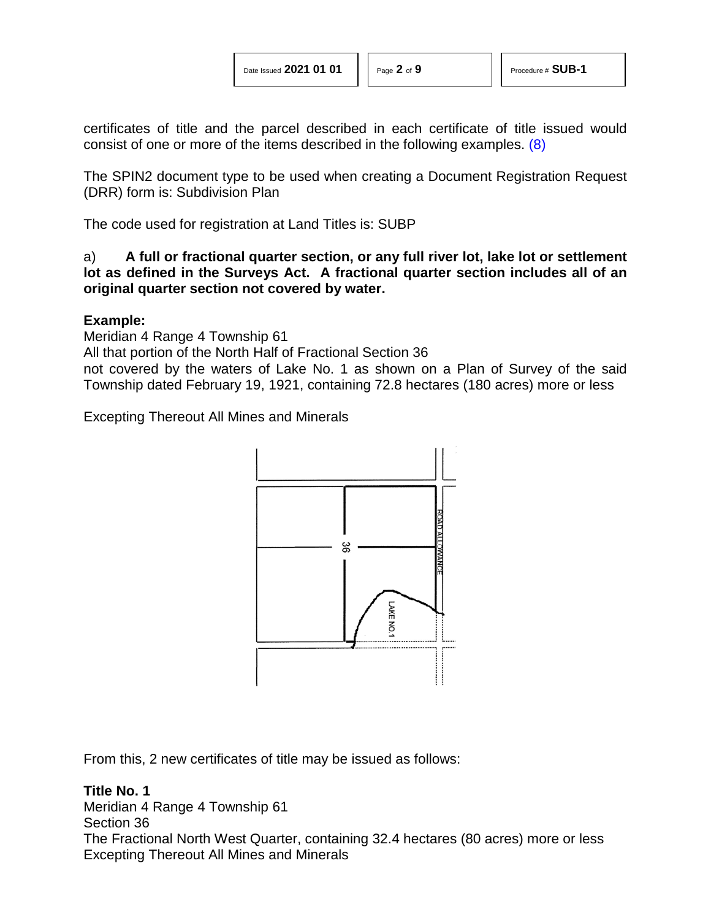certificates of title and the parcel described in each certificate of title issued would consist of one or more of the items described in the following examples. [\(8\)](#page-7-7)

The SPIN2 document type to be used when creating a Document Registration Request (DRR) form is: Subdivision Plan

The code used for registration at Land Titles is: SUBP

a) **A full or fractional quarter section, or any full river lot, lake lot or settlement lot as defined in the Surveys Act. A fractional quarter section includes all of an original quarter section not covered by water.**

# **Example:**

Meridian 4 Range 4 Township 61

All that portion of the North Half of Fractional Section 36

not covered by the waters of Lake No. 1 as shown on a Plan of Survey of the said Township dated February 19, 1921, containing 72.8 hectares (180 acres) more or less

Excepting Thereout All Mines and Minerals

<span id="page-1-0"></span>

From this, 2 new certificates of title may be issued as follows:

# **Title No. 1**

Meridian 4 Range 4 Township 61 Section 36 The Fractional North West Quarter, containing 32.4 hectares (80 acres) more or less Excepting Thereout All Mines and Minerals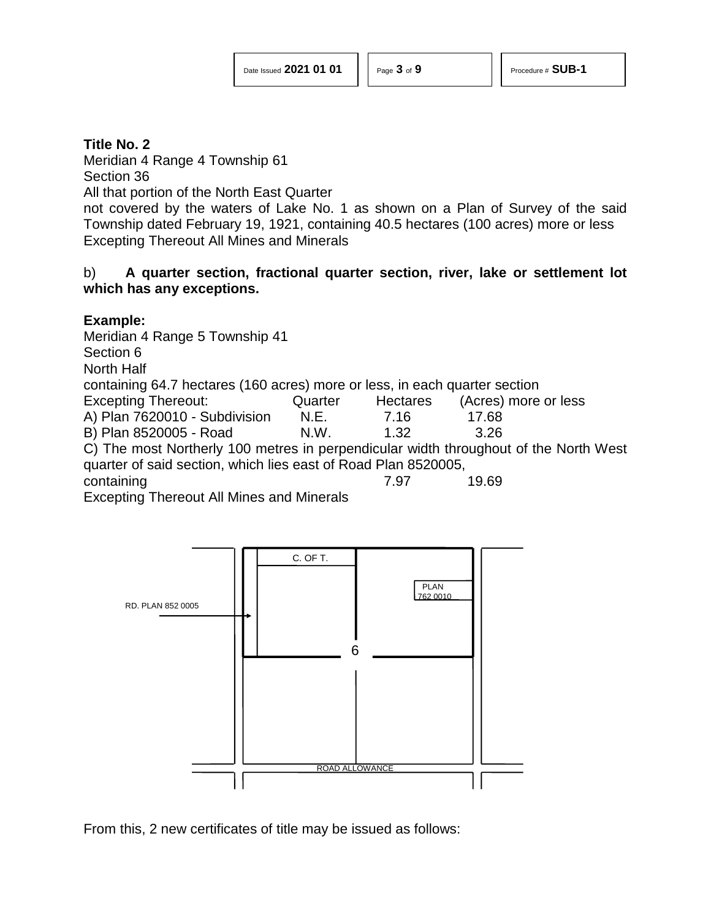Meridian 4 Range 4 Township 61 Section 36

All that portion of the North East Quarter

not covered by the waters of Lake No. 1 as shown on a Plan of Survey of the said Township dated February 19, 1921, containing 40.5 hectares (100 acres) more or less Excepting Thereout All Mines and Minerals

# b) **A quarter section, fractional quarter section, river, lake or settlement lot which has any exceptions.**

# **Example:**

Meridian 4 Range 5 Township 41 Section 6 North Half containing 64.7 hectares (160 acres) more or less, in each quarter section Excepting Thereout: Quarter Hectares (Acres) more or less A) Plan 7620010 - Subdivision N.E. 7.16 17.68 B) Plan 8520005 - Road N.W. 1.32 3.26 C) The most Northerly 100 metres in perpendicular width throughout of the North West quarter of said section, which lies east of Road Plan 8520005, containing 2.97 19.69

Excepting Thereout All Mines and Minerals



From this, 2 new certificates of title may be issued as follows: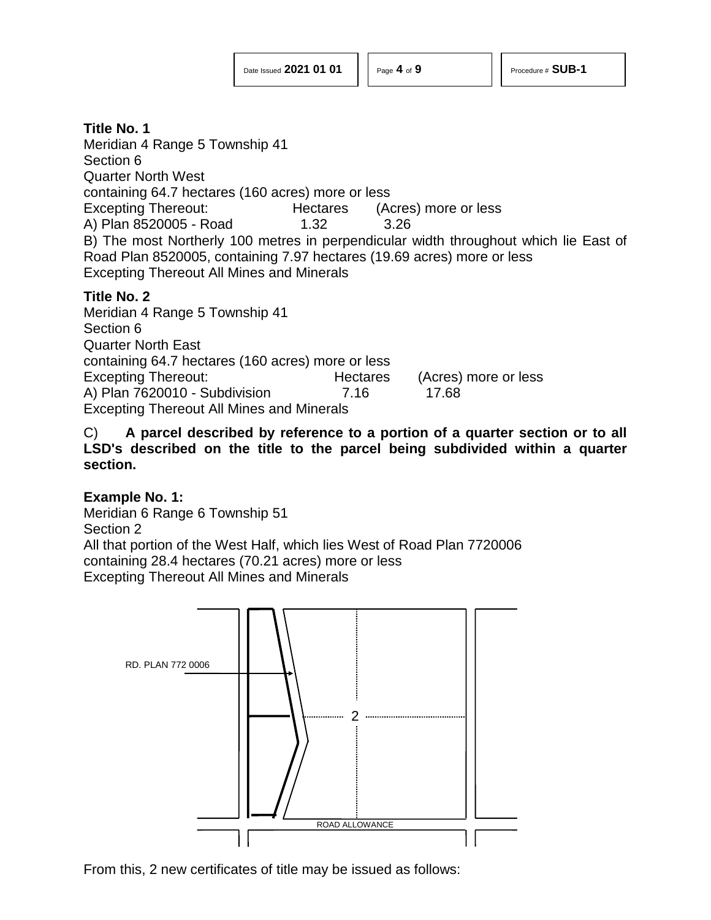Meridian 4 Range 5 Township 41 Section 6 Quarter North West containing 64.7 hectares (160 acres) more or less Excepting Thereout: Hectares (Acres) more or less A) Plan 8520005 - Road 1.32 3.26 B) The most Northerly 100 metres in perpendicular width throughout which lie East of Road Plan 8520005, containing 7.97 hectares (19.69 acres) more or less Excepting Thereout All Mines and Minerals

# **Title No. 2**

Meridian 4 Range 5 Township 41 Section 6 Quarter North East containing 64.7 hectares (160 acres) more or less Excepting Thereout: Hectares (Acres) more or less A) Plan 7620010 - Subdivision 7.16 17.68 Excepting Thereout All Mines and Minerals

C) **A parcel described by reference to a portion of a quarter section or to all LSD's described on the title to the parcel being subdivided within a quarter section.**

# **Example No. 1:**

Meridian 6 Range 6 Township 51 Section 2 All that portion of the West Half, which lies West of Road Plan 7720006 containing 28.4 hectares (70.21 acres) more or less Excepting Thereout All Mines and Minerals



From this, 2 new certificates of title may be issued as follows: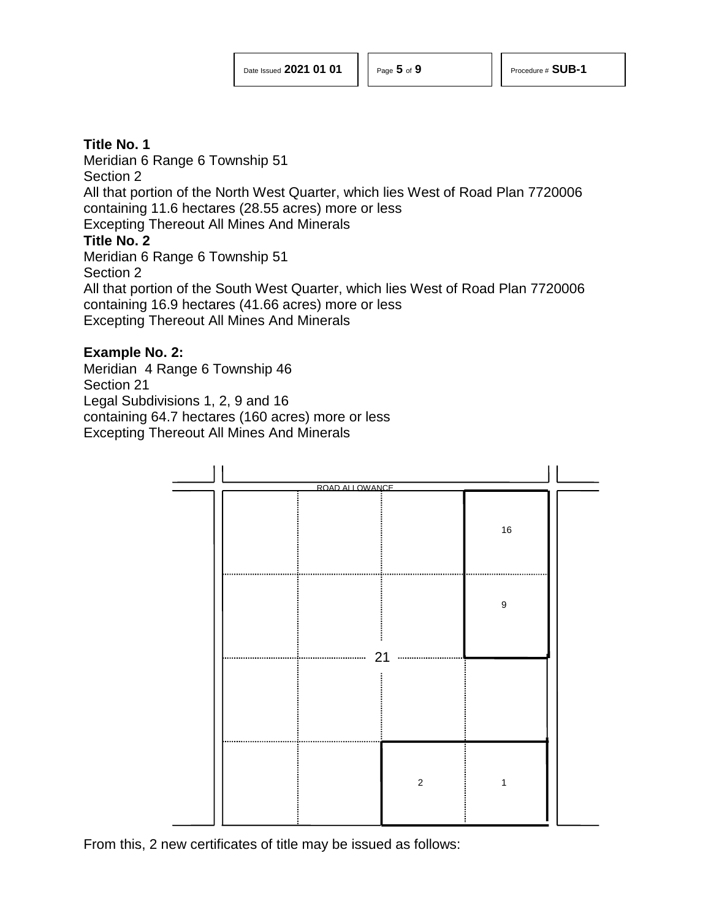Meridian 6 Range 6 Township 51 Section 2 All that portion of the North West Quarter, which lies West of Road Plan 7720006 containing 11.6 hectares (28.55 acres) more or less Excepting Thereout All Mines And Minerals **Title No. 2** Meridian 6 Range 6 Township 51 Section 2 All that portion of the South West Quarter, which lies West of Road Plan 7720006

containing 16.9 hectares (41.66 acres) more or less

Excepting Thereout All Mines And Minerals

#### **Example No. 2:**

Meridian 4 Range 6 Township 46 Section 21 Legal Subdivisions 1, 2, 9 and 16 containing 64.7 hectares (160 acres) more or less Excepting Thereout All Mines And Minerals



From this, 2 new certificates of title may be issued as follows: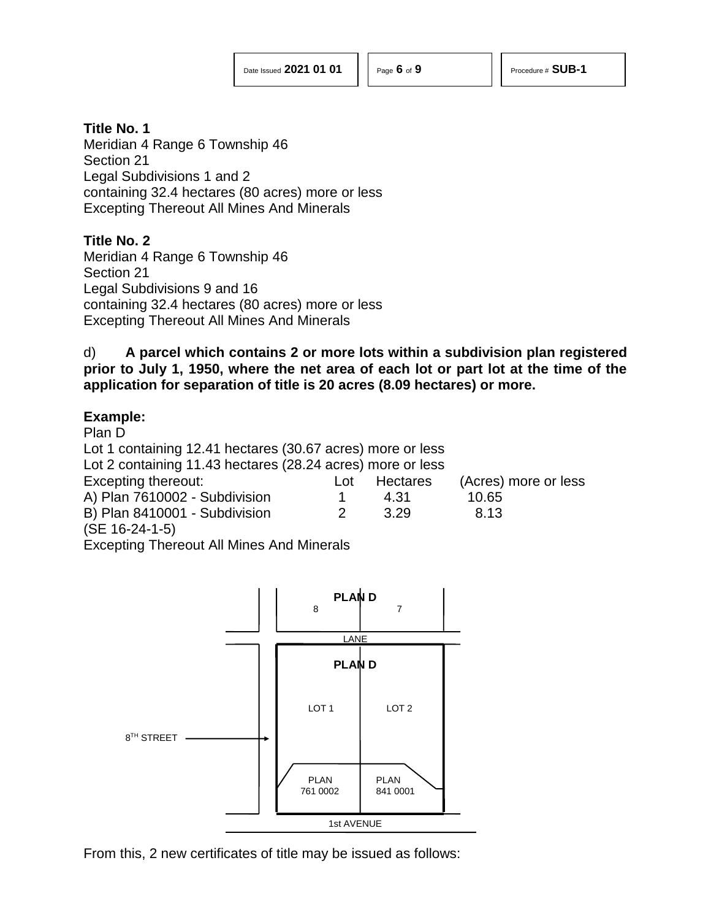Meridian 4 Range 6 Township 46 Section 21 Legal Subdivisions 1 and 2 containing 32.4 hectares (80 acres) more or less Excepting Thereout All Mines And Minerals

# **Title No. 2**

Meridian 4 Range 6 Township 46 Section 21 Legal Subdivisions 9 and 16 containing 32.4 hectares (80 acres) more or less Excepting Thereout All Mines And Minerals

d) **A parcel which contains 2 or more lots within a subdivision plan registered prior to July 1, 1950, where the net area of each lot or part lot at the time of the application for separation of title is 20 acres (8.09 hectares) or more.**

# **Example:**

Plan D Lot 1 containing 12.41 hectares (30.67 acres) more or less Lot 2 containing 11.43 hectares (28.24 acres) more or less Excepting thereout: Lot Hectares (Acres) more or less A) Plan 7610002 - Subdivision 1 4.31 10.65 B) Plan 8410001 - Subdivision 2 3.29 8.13 (SE 16-24-1-5)

Excepting Thereout All Mines And Minerals



From this, 2 new certificates of title may be issued as follows: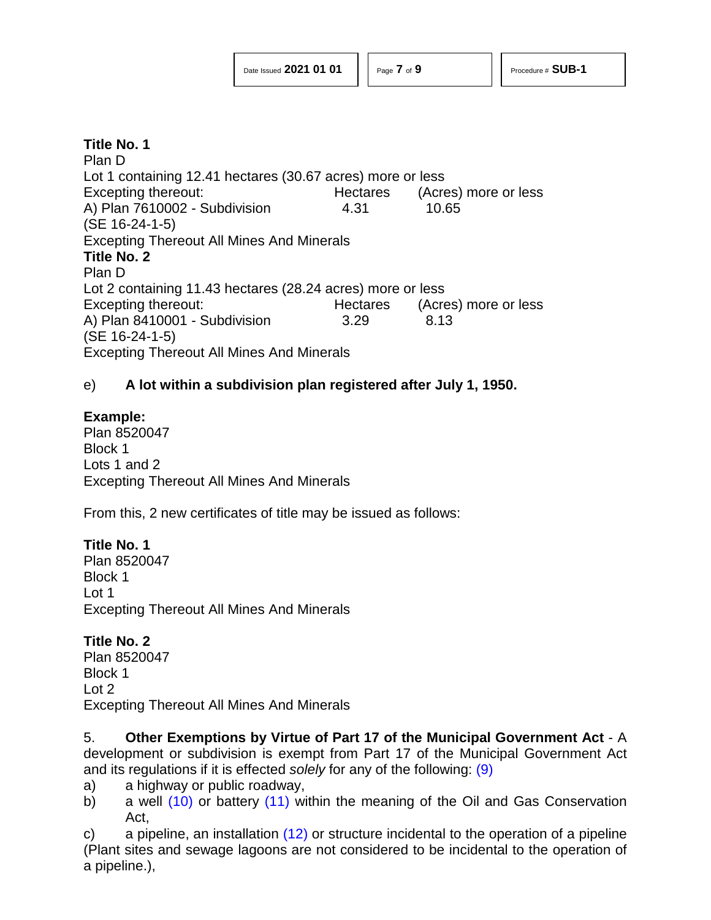Plan D Lot 1 containing 12.41 hectares (30.67 acres) more or less Excepting thereout: Hectares (Acres) more or less A) Plan 7610002 - Subdivision 4.31 10.65 (SE 16-24-1-5) Excepting Thereout All Mines And Minerals **Title No. 2** Plan D Lot 2 containing 11.43 hectares (28.24 acres) more or less Excepting thereout: Hectares (Acres) more or less A) Plan 8410001 - Subdivision 3.29 8.13 (SE 16-24-1-5) Excepting Thereout All Mines And Minerals

# e) **A lot within a subdivision plan registered after July 1, 1950.**

# **Example:**

Plan 8520047 Block 1 Lots 1 and 2 Excepting Thereout All Mines And Minerals

From this, 2 new certificates of title may be issued as follows:

# **Title No. 1**

Plan 8520047 Block 1 Lot 1 Excepting Thereout All Mines And Minerals

# **Title No. 2**

Plan 8520047 Block 1 Lot 2 Excepting Thereout All Mines And Minerals

5. **Other Exemptions by Virtue of Part 17 of the Municipal Government Act** - A development or subdivision is exempt from Part 17 of the Municipal Government Act and its regulations if it is effected *solely* for any of the following: [\(9\)](#page-7-8)

- <span id="page-6-0"></span>a) a highway or public roadway,
- <span id="page-6-2"></span><span id="page-6-1"></span>b) a well  $(10)$  or battery  $(11)$  within the meaning of the Oil and Gas Conservation Act,

<span id="page-6-3"></span>c) a pipeline, an installation  $(12)$  or structure incidental to the operation of a pipeline (Plant sites and sewage lagoons are not considered to be incidental to the operation of a pipeline.),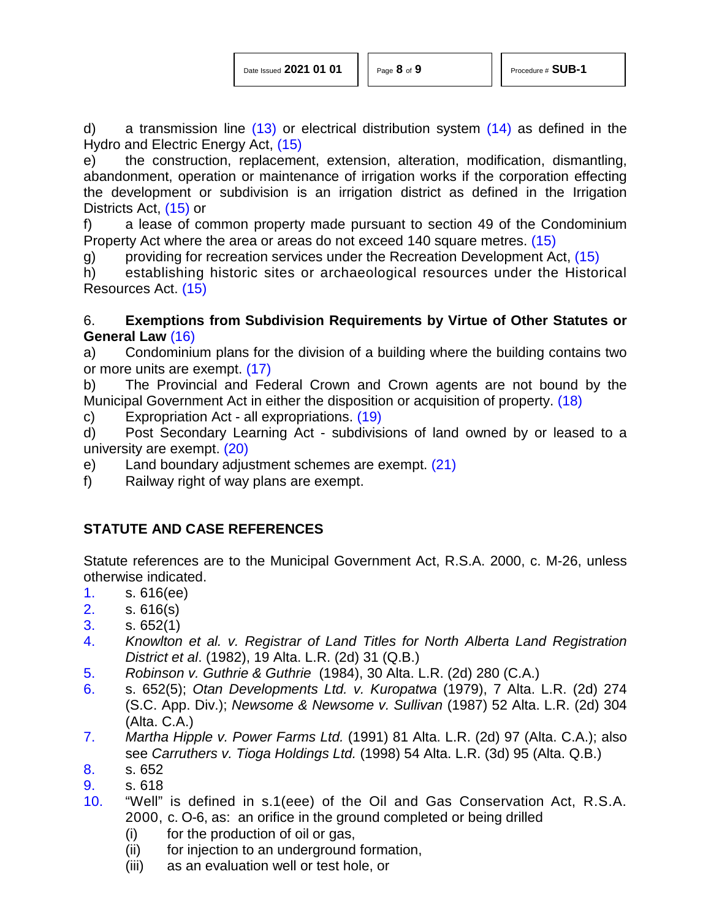<span id="page-7-15"></span><span id="page-7-12"></span><span id="page-7-11"></span><span id="page-7-10"></span>

| Date Issued 2021 01 01 |  |  |
|------------------------|--|--|
|                        |  |  |

d) a transmission line  $(13)$  or electrical distribution system  $(14)$  as defined in the Hydro and Electric Energy Act, [\(15\)](#page-8-4)

e) the construction, replacement, extension, alteration, modification, dismantling, abandonment, operation or maintenance of irrigation works if the corporation effecting the development or subdivision is an irrigation district as defined in the Irrigation Districts Act, [\(15\)](#page-8-4) or

f) a lease of common property made pursuant to section 49 of the Condominium Property Act where the area or areas do not exceed 140 square metres. [\(15\)](#page-8-4)

g) providing for recreation services under the Recreation Development Act, [\(15\)](#page-8-4)

h) establishing historic sites or archaeological resources under the Historical Resources Act. [\(15\)](#page-8-4)

# <span id="page-7-13"></span>6. **Exemptions from Subdivision Requirements by Virtue of Other Statutes or General Law** [\(16\)](#page-8-5)

<span id="page-7-14"></span>a) Condominium plans for the division of a building where the building contains two or more units are exempt. [\(17\)](#page-8-6)

b) The Provincial and Federal Crown and Crown agents are not bound by the Municipal Government Act in either the disposition or acquisition of property. [\(18\)](#page-8-7)

<span id="page-7-16"></span>c) Expropriation Act - all expropriations. [\(19\)](#page-8-8)

<span id="page-7-17"></span>d) Post Secondary Learning Act - subdivisions of land owned by or leased to a university are exempt. [\(20\)](#page-8-9)

- <span id="page-7-18"></span>e) Land boundary adjustment schemes are exempt. [\(21\)](#page-8-10)
- f) Railway right of way plans are exempt.

# **STATUTE AND CASE REFERENCES**

Statute references are to the Municipal Government Act, R.S.A. 2000, c. M-26, unless otherwise indicated.

- <span id="page-7-0"></span>[1.](#page-0-0) s. 616(ee)
- <span id="page-7-1"></span>[2.](#page-0-1) s. 616(s)
- <span id="page-7-2"></span>[3.](#page-0-2) s. 652(1)
- <span id="page-7-3"></span>[4.](#page-0-3) *Knowlton et al. v. Registrar of Land Titles for North Alberta Land Registration District et al*. (1982), 19 Alta. L.R. (2d) 31 (Q.B.)
- <span id="page-7-4"></span>[5.](#page-0-4) *Robinson v. Guthrie & Guthrie* (1984), 30 Alta. L.R. (2d) 280 (C.A.)
- <span id="page-7-5"></span>[6.](#page-0-5) s. 652(5); *Otan Developments Ltd. v. Kuropatwa* (1979), 7 Alta. L.R. (2d) 274 (S.C. App. Div.); *Newsome & Newsome v. Sullivan* (1987) 52 Alta. L.R. (2d) 304 (Alta. C.A.)
- <span id="page-7-6"></span>[7.](#page-0-6) *Martha Hipple v. Power Farms Ltd.* (1991) 81 Alta. L.R. (2d) 97 (Alta. C.A.); also see *Carruthers v. Tioga Holdings Ltd.* (1998) 54 Alta. L.R. (3d) 95 (Alta. Q.B.)
- <span id="page-7-7"></span>[8.](#page-1-0) s. 652
- <span id="page-7-8"></span>[9.](#page-6-0) s. 618
- <span id="page-7-9"></span>[10.](#page-6-1) "Well" is defined in s.1(eee) of the Oil and Gas Conservation Act, R.S.A. 2000, c. O-6, as: an orifice in the ground completed or being drilled
	- (i) for the production of oil or gas,
	- (ii) for injection to an underground formation,
	- (iii) as an evaluation well or test hole, or